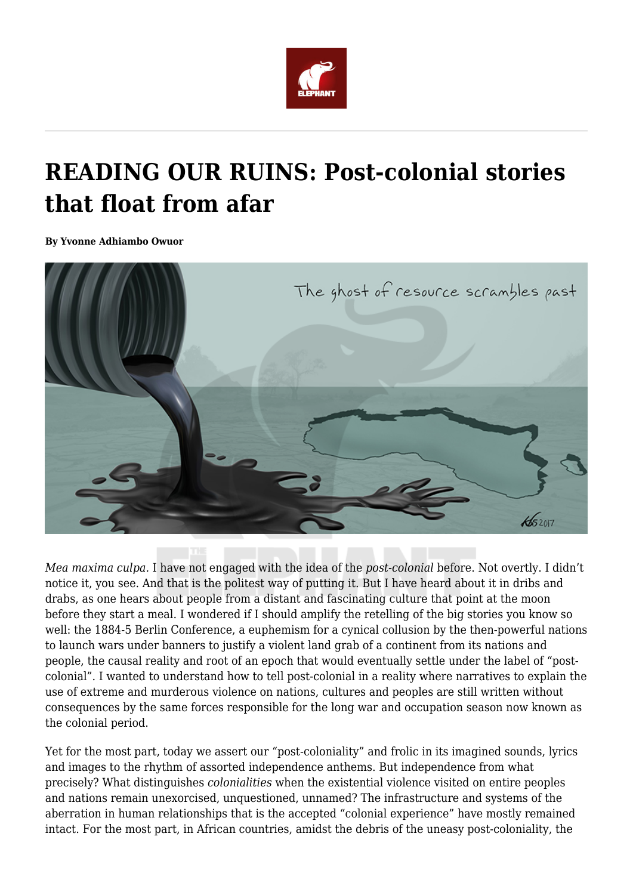

## **READING OUR RUINS: Post-colonial stories that float from afar**

**By Yvonne Adhiambo Owuor**



*Mea maxima culpa.* I have not engaged with the idea of the *post-colonial* before. Not overtly. I didn't notice it, you see. And that is the politest way of putting it. But I have heard about it in dribs and drabs, as one hears about people from a distant and fascinating culture that point at the moon before they start a meal. I wondered if I should amplify the retelling of the big stories you know so well: the 1884-5 Berlin Conference, a euphemism for a cynical collusion by the then-powerful nations to launch wars under banners to justify a violent land grab of a continent from its nations and people, the causal reality and root of an epoch that would eventually settle under the label of "postcolonial". I wanted to understand how to tell post-colonial in a reality where narratives to explain the use of extreme and murderous violence on nations, cultures and peoples are still written without consequences by the same forces responsible for the long war and occupation season now known as the colonial period.

Yet for the most part, today we assert our "post-coloniality" and frolic in its imagined sounds, lyrics and images to the rhythm of assorted independence anthems. But independence from what precisely? What distinguishes *colonialities* when the existential violence visited on entire peoples and nations remain unexorcised, unquestioned, unnamed? The infrastructure and systems of the aberration in human relationships that is the accepted "colonial experience" have mostly remained intact. For the most part, in African countries, amidst the debris of the uneasy post-coloniality, the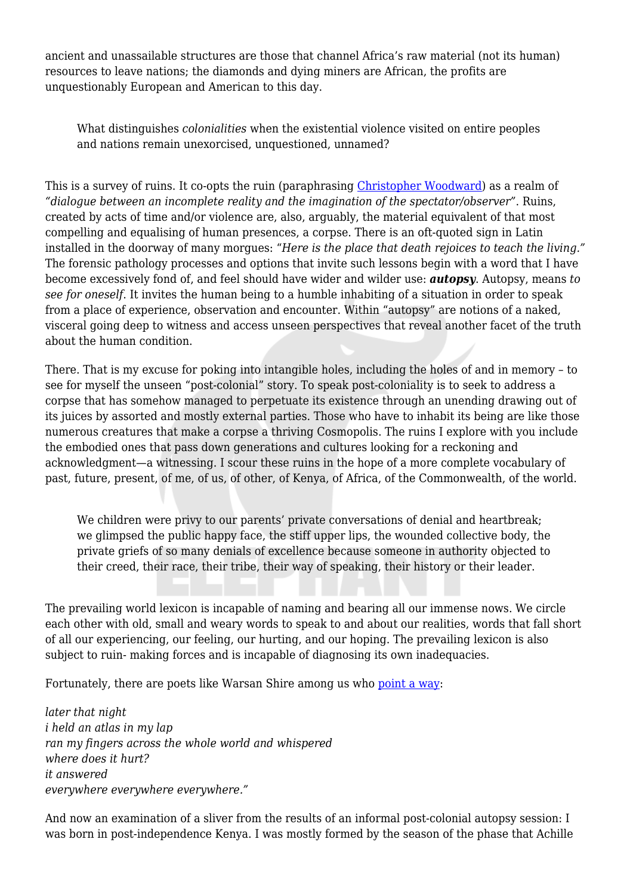ancient and unassailable structures are those that channel Africa's raw material (not its human) resources to leave nations; the diamonds and dying miners are African, the profits are unquestionably European and American to this day.

What distinguishes *colonialities* when the existential violence visited on entire peoples and nations remain unexorcised, unquestioned, unnamed?

This is a survey of ruins. It co-opts the ruin (paraphrasing [Christopher Woodward](https://www.amazon.com/Ruins-Journey-Through-History-Literature/dp/1400030862)) as a realm of *"dialogue between an incomplete reality and the imagination of the spectator/observer"*. Ruins, created by acts of time and/or violence are, also, arguably, the material equivalent of that most compelling and equalising of human presences, a corpse. There is an oft-quoted sign in Latin installed in the doorway of many morgues: "*Here is the place that death rejoices to teach the living."* The forensic pathology processes and options that invite such lessons begin with a word that I have become excessively fond of, and feel should have wider and wilder use: *autopsy*. Autopsy, means *to see for oneself*. It invites the human being to a humble inhabiting of a situation in order to speak from a place of experience, observation and encounter. Within "autopsy" are notions of a naked, visceral going deep to witness and access unseen perspectives that reveal another facet of the truth about the human condition.

There. That is my excuse for poking into intangible holes, including the holes of and in memory – to see for myself the unseen "post-colonial" story. To speak post-coloniality is to seek to address a corpse that has somehow managed to perpetuate its existence through an unending drawing out of its juices by assorted and mostly external parties. Those who have to inhabit its being are like those numerous creatures that make a corpse a thriving Cosmopolis. The ruins I explore with you include the embodied ones that pass down generations and cultures looking for a reckoning and acknowledgment—a witnessing. I scour these ruins in the hope of a more complete vocabulary of past, future, present, of me, of us, of other, of Kenya, of Africa, of the Commonwealth, of the world.

We children were privy to our parents' private conversations of denial and heartbreak; we glimpsed the public happy face, the stiff upper lips, the wounded collective body, the private griefs of so many denials of excellence because someone in authority objected to their creed, their race, their tribe, their way of speaking, their history or their leader.

The prevailing world lexicon is incapable of naming and bearing all our immense nows. We circle each other with old, small and weary words to speak to and about our realities, words that fall short of all our experiencing, our feeling, our hurting, and our hoping. The prevailing lexicon is also subject to ruin- making forces and is incapable of diagnosing its own inadequacies.

Fortunately, there are poets like Warsan Shire among us who [point a way:](http://amberjkeyser.com/2015/11/warsan-shire/)

*later that night i held an atlas in my lap ran my fingers across the whole world and whispered where does it hurt? it answered everywhere everywhere everywhere."*

And now an examination of a sliver from the results of an informal post-colonial autopsy session: I was born in post-independence Kenya. I was mostly formed by the season of the phase that Achille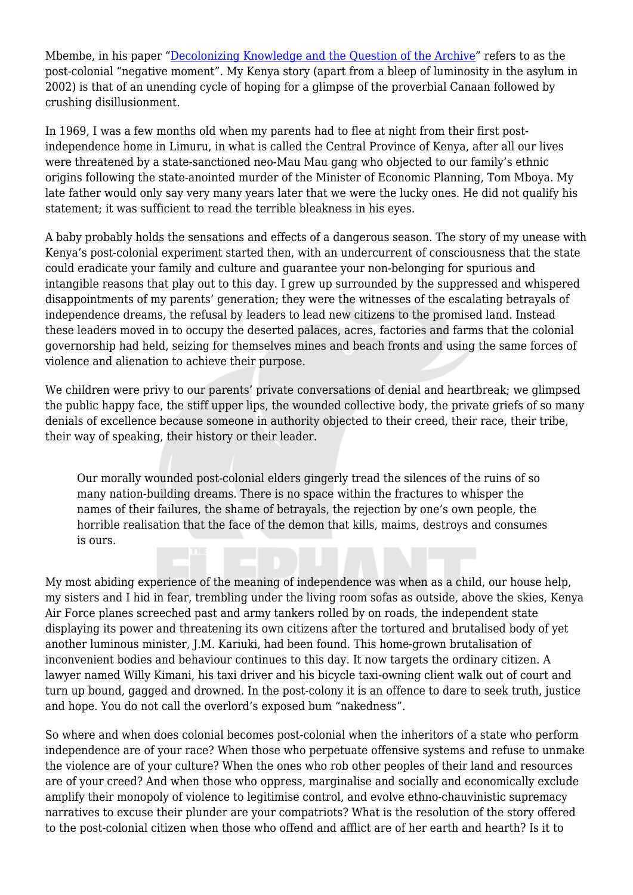Mbembe, in his paper "[Decolonizing Knowledge and the Question of the Archive](https://wiser.wits.ac.za/system/files/Achille%20Mbembe%20-%20Decolonizing%20Knowledge%20and%20the%20Question%20of%20the%20Archive.pdf)" refers to as the post-colonial "negative moment". My Kenya story (apart from a bleep of luminosity in the asylum in 2002) is that of an unending cycle of hoping for a glimpse of the proverbial Canaan followed by crushing disillusionment.

In 1969, I was a few months old when my parents had to flee at night from their first postindependence home in Limuru, in what is called the Central Province of Kenya, after all our lives were threatened by a state-sanctioned neo-Mau Mau gang who objected to our family's ethnic origins following the state-anointed murder of the Minister of Economic Planning, Tom Mboya. My late father would only say very many years later that we were the lucky ones. He did not qualify his statement; it was sufficient to read the terrible bleakness in his eyes.

A baby probably holds the sensations and effects of a dangerous season. The story of my unease with Kenya's post-colonial experiment started then, with an undercurrent of consciousness that the state could eradicate your family and culture and guarantee your non-belonging for spurious and intangible reasons that play out to this day. I grew up surrounded by the suppressed and whispered disappointments of my parents' generation; they were the witnesses of the escalating betrayals of independence dreams, the refusal by leaders to lead new citizens to the promised land. Instead these leaders moved in to occupy the deserted palaces, acres, factories and farms that the colonial governorship had held, seizing for themselves mines and beach fronts and using the same forces of violence and alienation to achieve their purpose.

We children were privy to our parents' private conversations of denial and heartbreak; we glimpsed the public happy face, the stiff upper lips, the wounded collective body, the private griefs of so many denials of excellence because someone in authority objected to their creed, their race, their tribe, their way of speaking, their history or their leader.

Our morally wounded post-colonial elders gingerly tread the silences of the ruins of so many nation-building dreams. There is no space within the fractures to whisper the names of their failures, the shame of betrayals, the rejection by one's own people, the horrible realisation that the face of the demon that kills, maims, destroys and consumes is ours.

My most abiding experience of the meaning of independence was when as a child, our house help, my sisters and I hid in fear, trembling under the living room sofas as outside, above the skies, Kenya Air Force planes screeched past and army tankers rolled by on roads, the independent state displaying its power and threatening its own citizens after the tortured and brutalised body of yet another luminous minister, J.M. Kariuki, had been found. This home-grown brutalisation of inconvenient bodies and behaviour continues to this day. It now targets the ordinary citizen. A lawyer named Willy Kimani, his taxi driver and his bicycle taxi-owning client walk out of court and turn up bound, gagged and drowned. In the post-colony it is an offence to dare to seek truth, justice and hope. You do not call the overlord's exposed bum "nakedness".

So where and when does colonial becomes post-colonial when the inheritors of a state who perform independence are of your race? When those who perpetuate offensive systems and refuse to unmake the violence are of your culture? When the ones who rob other peoples of their land and resources are of your creed? And when those who oppress, marginalise and socially and economically exclude amplify their monopoly of violence to legitimise control, and evolve ethno-chauvinistic supremacy narratives to excuse their plunder are your compatriots? What is the resolution of the story offered to the post-colonial citizen when those who offend and afflict are of her earth and hearth? Is it to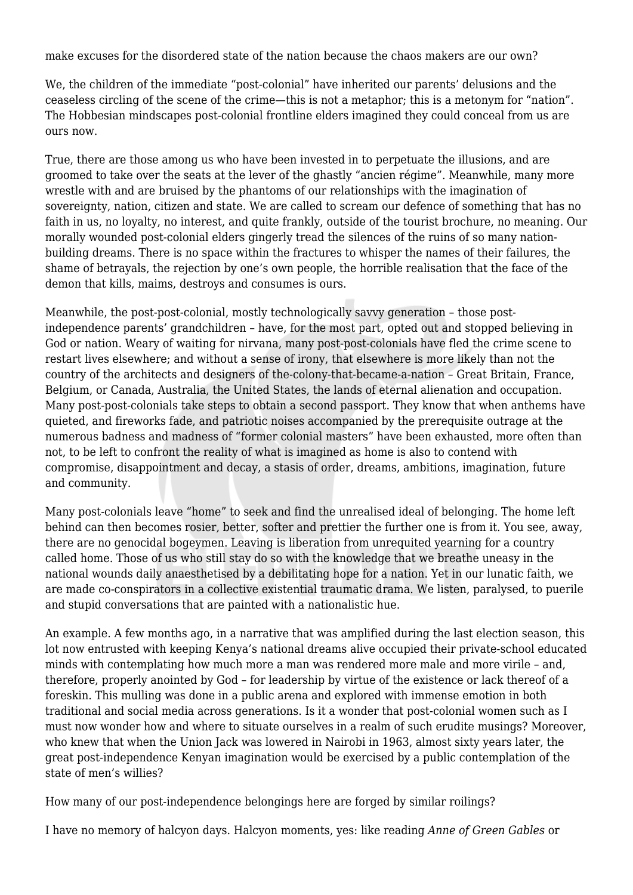make excuses for the disordered state of the nation because the chaos makers are our own?

We, the children of the immediate "post-colonial" have inherited our parents' delusions and the ceaseless circling of the scene of the crime—this is not a metaphor; this is a metonym for "nation". The Hobbesian mindscapes post-colonial frontline elders imagined they could conceal from us are ours now.

True, there are those among us who have been invested in to perpetuate the illusions, and are groomed to take over the seats at the lever of the ghastly "ancien régime". Meanwhile, many more wrestle with and are bruised by the phantoms of our relationships with the imagination of sovereignty, nation, citizen and state. We are called to scream our defence of something that has no faith in us, no loyalty, no interest, and quite frankly, outside of the tourist brochure, no meaning. Our morally wounded post-colonial elders gingerly tread the silences of the ruins of so many nationbuilding dreams. There is no space within the fractures to whisper the names of their failures, the shame of betrayals, the rejection by one's own people, the horrible realisation that the face of the demon that kills, maims, destroys and consumes is ours.

Meanwhile, the post-post-colonial, mostly technologically savvy generation – those postindependence parents' grandchildren – have, for the most part, opted out and stopped believing in God or nation. Weary of waiting for nirvana, many post-post-colonials have fled the crime scene to restart lives elsewhere; and without a sense of irony, that elsewhere is more likely than not the country of the architects and designers of the-colony-that-became-a-nation – Great Britain, France, Belgium, or Canada, Australia, the United States, the lands of eternal alienation and occupation. Many post-post-colonials take steps to obtain a second passport. They know that when anthems have quieted, and fireworks fade, and patriotic noises accompanied by the prerequisite outrage at the numerous badness and madness of "former colonial masters" have been exhausted, more often than not, to be left to confront the reality of what is imagined as home is also to contend with compromise, disappointment and decay, a stasis of order, dreams, ambitions, imagination, future and community.

Many post-colonials leave "home" to seek and find the unrealised ideal of belonging. The home left behind can then becomes rosier, better, softer and prettier the further one is from it. You see, away, there are no genocidal bogeymen. Leaving is liberation from unrequited yearning for a country called home. Those of us who still stay do so with the knowledge that we breathe uneasy in the national wounds daily anaesthetised by a debilitating hope for a nation. Yet in our lunatic faith, we are made co-conspirators in a collective existential traumatic drama. We listen, paralysed, to puerile and stupid conversations that are painted with a nationalistic hue.

An example. A few months ago, in a narrative that was amplified during the last election season, this lot now entrusted with keeping Kenya's national dreams alive occupied their private-school educated minds with contemplating how much more a man was rendered more male and more virile – and, therefore, properly anointed by God – for leadership by virtue of the existence or lack thereof of a foreskin. This mulling was done in a public arena and explored with immense emotion in both traditional and social media across generations. Is it a wonder that post-colonial women such as I must now wonder how and where to situate ourselves in a realm of such erudite musings? Moreover, who knew that when the Union Jack was lowered in Nairobi in 1963, almost sixty years later, the great post-independence Kenyan imagination would be exercised by a public contemplation of the state of men's willies?

How many of our post-independence belongings here are forged by similar roilings?

I have no memory of halcyon days. Halcyon moments, yes: like reading *Anne of Green Gables* or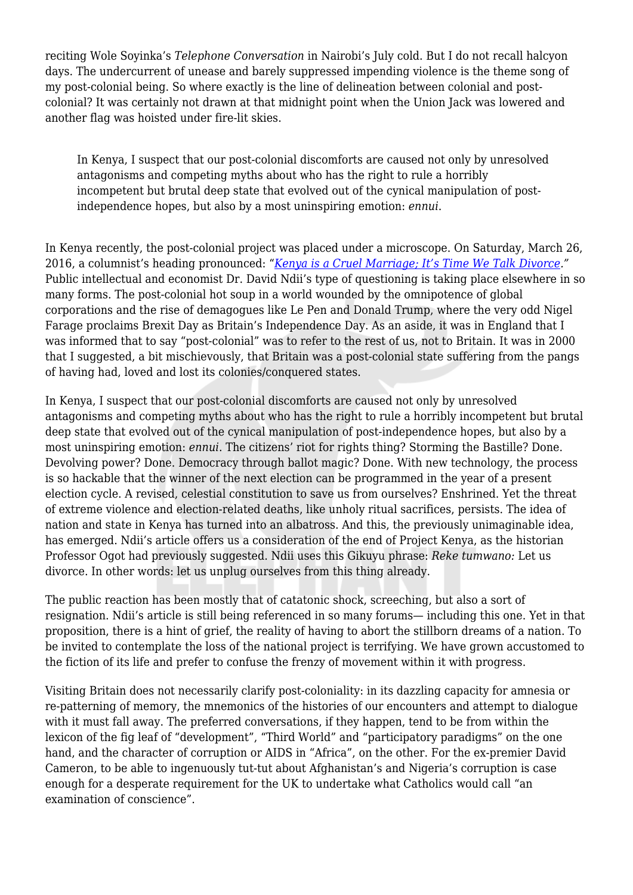reciting Wole Soyinka's *Telephone Conversation* in Nairobi's July cold. But I do not recall halcyon days. The undercurrent of unease and barely suppressed impending violence is the theme song of my post-colonial being. So where exactly is the line of delineation between colonial and postcolonial? It was certainly not drawn at that midnight point when the Union Jack was lowered and another flag was hoisted under fire-lit skies.

In Kenya, I suspect that our post-colonial discomforts are caused not only by unresolved antagonisms and competing myths about who has the right to rule a horribly incompetent but brutal deep state that evolved out of the cynical manipulation of postindependence hopes, but also by a most uninspiring emotion: *ennui*.

In Kenya recently, the post-colonial project was placed under a microscope. On Saturday, March 26, 2016, a columnist's heading pronounced: "*[Kenya is a Cruel](https://www.nation.co.ke/oped/Opinion/Kenya-is-a-cruel-marriage--it-s-time-we-talk-divorce/-/440808/3134132/-/yrd7n0/-/index.html.) [Marriage; It's Time We Talk Divorce](https://www.nation.co.ke/oped/Opinion/Kenya-is-a-cruel-marriage--it-s-time-we-talk-divorce/-/440808/3134132/-/yrd7n0/-/index.html.)."* Public intellectual and economist Dr. David Ndii's type of questioning is taking place elsewhere in so many forms. The post-colonial hot soup in a world wounded by the omnipotence of global corporations and the rise of demagogues like Le Pen and Donald Trump, where the very odd Nigel Farage proclaims Brexit Day as Britain's Independence Day. As an aside, it was in England that I was informed that to say "post-colonial" was to refer to the rest of us, not to Britain. It was in 2000 that I suggested, a bit mischievously, that Britain was a post-colonial state suffering from the pangs of having had, loved and lost its colonies/conquered states.

In Kenya, I suspect that our post-colonial discomforts are caused not only by unresolved antagonisms and competing myths about who has the right to rule a horribly incompetent but brutal deep state that evolved out of the cynical manipulation of post-independence hopes, but also by a most uninspiring emotion: *ennui*. The citizens' riot for rights thing? Storming the Bastille? Done. Devolving power? Done. Democracy through ballot magic? Done. With new technology, the process is so hackable that the winner of the next election can be programmed in the year of a present election cycle. A revised, celestial constitution to save us from ourselves? Enshrined. Yet the threat of extreme violence and election-related deaths, like unholy ritual sacrifices, persists. The idea of nation and state in Kenya has turned into an albatross. And this, the previously unimaginable idea, has emerged. Ndii's article offers us a consideration of the end of Project Kenya, as the historian Professor Ogot had previously suggested. Ndii uses this Gikuyu phrase: *Reke tumwano:* Let us divorce. In other words: let us unplug ourselves from this thing already.

The public reaction has been mostly that of catatonic shock, screeching, but also a sort of resignation. Ndii's article is still being referenced in so many forums— including this one. Yet in that proposition, there is a hint of grief, the reality of having to abort the stillborn dreams of a nation. To be invited to contemplate the loss of the national project is terrifying. We have grown accustomed to the fiction of its life and prefer to confuse the frenzy of movement within it with progress.

Visiting Britain does not necessarily clarify post-coloniality: in its dazzling capacity for amnesia or re-patterning of memory, the mnemonics of the histories of our encounters and attempt to dialogue with it must fall away. The preferred conversations, if they happen, tend to be from within the lexicon of the fig leaf of "development", "Third World" and "participatory paradigms" on the one hand, and the character of corruption or AIDS in "Africa", on the other. For the ex-premier David Cameron, to be able to ingenuously tut-tut about Afghanistan's and Nigeria's corruption is case enough for a desperate requirement for the UK to undertake what Catholics would call "an examination of conscience".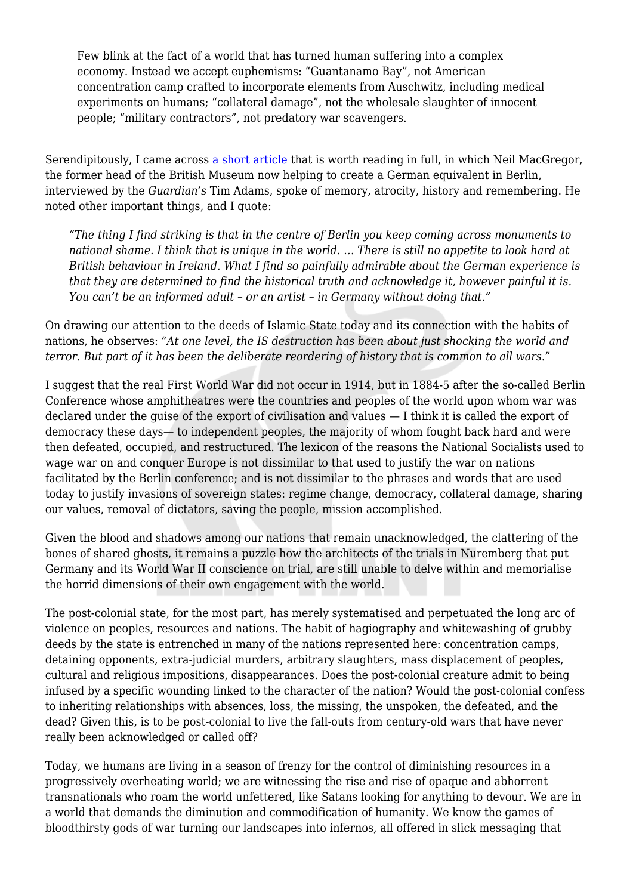Few blink at the fact of a world that has turned human suffering into a complex economy. Instead we accept euphemisms: "Guantanamo Bay", not American concentration camp crafted to incorporate elements from Auschwitz, including medical experiments on humans; "collateral damage", not the wholesale slaughter of innocent people; "military contractors", not predatory war scavengers.

Serendipitously, I came across [a short article](https://www.theguardian.com/culture/2016/apr/17/neil-macgregor-britain-germany-humboldt-forum-berlin) that is worth reading in full, in which Neil MacGregor, the former head of the British Museum now helping to create a German equivalent in Berlin, interviewed by the *Guardian's* Tim Adams, spoke of memory, atrocity, history and remembering. He noted other important things, and I quote:

*"The thing I find striking is that in the centre of Berlin you keep coming across monuments to national shame. I think that is unique in the world. … There is still no appetite to look hard at British behaviour in Ireland. What I find so painfully admirable about the German experience is that they are determined to find the historical truth and acknowledge it, however painful it is. You can't be an informed adult – or an artist – in Germany without doing that."*

On drawing our attention to the deeds of Islamic State today and its connection with the habits of nations, he observes: *"At one level, the IS destruction has been about just shocking the world and terror. But part of it has been the deliberate reordering of history that is common to all wars."*

I suggest that the real First World War did not occur in 1914, but in 1884-5 after the so-called Berlin Conference whose amphitheatres were the countries and peoples of the world upon whom war was declared under the guise of the export of civilisation and values — I think it is called the export of democracy these days— to independent peoples, the majority of whom fought back hard and were then defeated, occupied, and restructured. The lexicon of the reasons the National Socialists used to wage war on and conquer Europe is not dissimilar to that used to justify the war on nations facilitated by the Berlin conference; and is not dissimilar to the phrases and words that are used today to justify invasions of sovereign states: regime change, democracy, collateral damage, sharing our values, removal of dictators, saving the people, mission accomplished.

Given the blood and shadows among our nations that remain unacknowledged, the clattering of the bones of shared ghosts, it remains a puzzle how the architects of the trials in Nuremberg that put Germany and its World War II conscience on trial, are still unable to delve within and memorialise the horrid dimensions of their own engagement with the world.

The post-colonial state, for the most part, has merely systematised and perpetuated the long arc of violence on peoples, resources and nations. The habit of hagiography and whitewashing of grubby deeds by the state is entrenched in many of the nations represented here: concentration camps, detaining opponents, extra-judicial murders, arbitrary slaughters, mass displacement of peoples, cultural and religious impositions, disappearances. Does the post-colonial creature admit to being infused by a specific wounding linked to the character of the nation? Would the post-colonial confess to inheriting relationships with absences, loss, the missing, the unspoken, the defeated, and the dead? Given this, is to be post-colonial to live the fall-outs from century-old wars that have never really been acknowledged or called off?

Today, we humans are living in a season of frenzy for the control of diminishing resources in a progressively overheating world; we are witnessing the rise and rise of opaque and abhorrent transnationals who roam the world unfettered, like Satans looking for anything to devour. We are in a world that demands the diminution and commodification of humanity. We know the games of bloodthirsty gods of war turning our landscapes into infernos, all offered in slick messaging that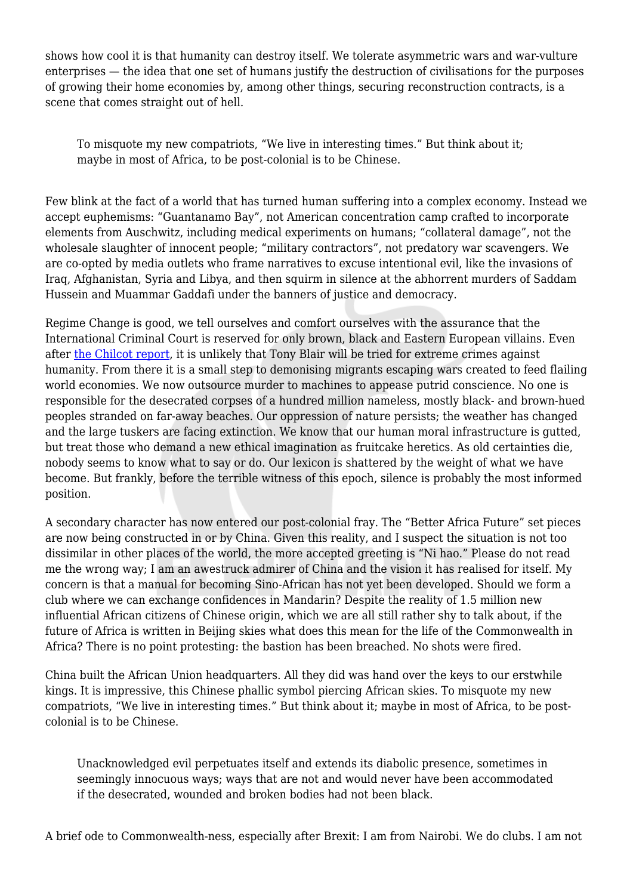shows how cool it is that humanity can destroy itself. We tolerate asymmetric wars and war-vulture enterprises — the idea that one set of humans justify the destruction of civilisations for the purposes of growing their home economies by, among other things, securing reconstruction contracts, is a scene that comes straight out of hell.

To misquote my new compatriots, "We live in interesting times." But think about it; maybe in most of Africa, to be post-colonial is to be Chinese.

Few blink at the fact of a world that has turned human suffering into a complex economy. Instead we accept euphemisms: "Guantanamo Bay", not American concentration camp crafted to incorporate elements from Auschwitz, including medical experiments on humans; "collateral damage", not the wholesale slaughter of innocent people; "military contractors", not predatory war scavengers. We are co-opted by media outlets who frame narratives to excuse intentional evil, like the invasions of Iraq, Afghanistan, Syria and Libya, and then squirm in silence at the abhorrent murders of Saddam Hussein and Muammar Gaddafi under the banners of justice and democracy.

Regime Change is good, we tell ourselves and comfort ourselves with the assurance that the International Criminal Court is reserved for only brown, black and Eastern European villains. Even after [the Chilcot report,](https://www.gov.uk/government/publications/the-report-of-the-iraq-inquiry) it is unlikely that Tony Blair will be tried for extreme crimes against humanity. From there it is a small step to demonising migrants escaping wars created to feed flailing world economies. We now outsource murder to machines to appease putrid conscience. No one is responsible for the desecrated corpses of a hundred million nameless, mostly black- and brown-hued peoples stranded on far-away beaches. Our oppression of nature persists; the weather has changed and the large tuskers are facing extinction. We know that our human moral infrastructure is gutted, but treat those who demand a new ethical imagination as fruitcake heretics. As old certainties die, nobody seems to know what to say or do. Our lexicon is shattered by the weight of what we have become. But frankly, before the terrible witness of this epoch, silence is probably the most informed position.

A secondary character has now entered our post-colonial fray. The "Better Africa Future" set pieces are now being constructed in or by China. Given this reality, and I suspect the situation is not too dissimilar in other places of the world, the more accepted greeting is "Ni hao." Please do not read me the wrong way; I am an awestruck admirer of China and the vision it has realised for itself. My concern is that a manual for becoming Sino-African has not yet been developed. Should we form a club where we can exchange confidences in Mandarin? Despite the reality of 1.5 million new influential African citizens of Chinese origin, which we are all still rather shy to talk about, if the future of Africa is written in Beijing skies what does this mean for the life of the Commonwealth in Africa? There is no point protesting: the bastion has been breached. No shots were fired.

China built the African Union headquarters. All they did was hand over the keys to our erstwhile kings. It is impressive, this Chinese phallic symbol piercing African skies. To misquote my new compatriots, "We live in interesting times." But think about it; maybe in most of Africa, to be postcolonial is to be Chinese.

Unacknowledged evil perpetuates itself and extends its diabolic presence, sometimes in seemingly innocuous ways; ways that are not and would never have been accommodated if the desecrated, wounded and broken bodies had not been black.

A brief ode to Commonwealth-ness, especially after Brexit: I am from Nairobi. We do clubs. I am not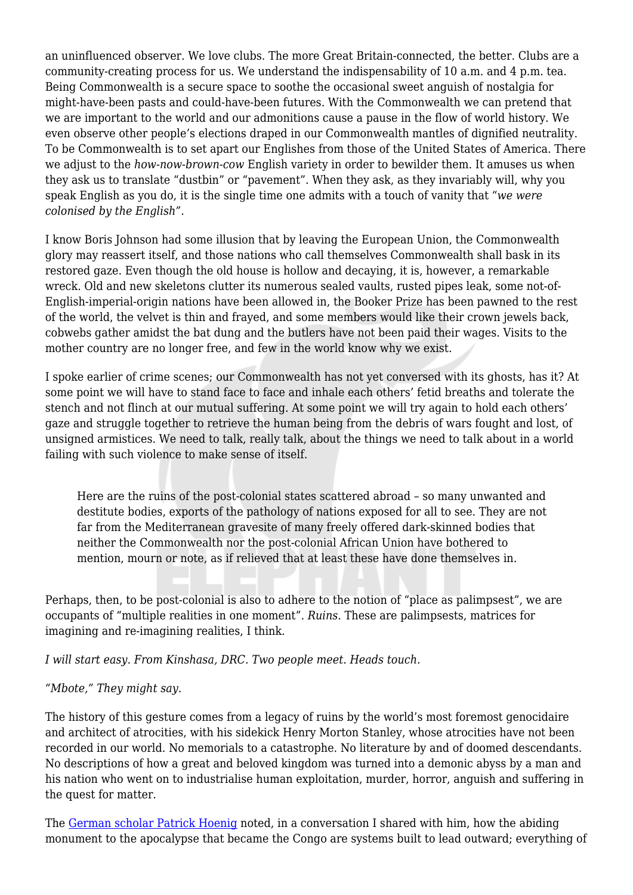an uninfluenced observer. We love clubs. The more Great Britain-connected, the better. Clubs are a community-creating process for us. We understand the indispensability of 10 a.m. and 4 p.m. tea. Being Commonwealth is a secure space to soothe the occasional sweet anguish of nostalgia for might-have-been pasts and could-have-been futures. With the Commonwealth we can pretend that we are important to the world and our admonitions cause a pause in the flow of world history. We even observe other people's elections draped in our Commonwealth mantles of dignified neutrality. To be Commonwealth is to set apart our Englishes from those of the United States of America. There we adjust to the *how-now-brown-cow* English variety in order to bewilder them. It amuses us when they ask us to translate "dustbin" or "pavement". When they ask, as they invariably will, why you speak English as you do, it is the single time one admits with a touch of vanity that "*we were colonised by the English"*.

I know Boris Johnson had some illusion that by leaving the European Union, the Commonwealth glory may reassert itself, and those nations who call themselves Commonwealth shall bask in its restored gaze. Even though the old house is hollow and decaying, it is, however, a remarkable wreck. Old and new skeletons clutter its numerous sealed vaults, rusted pipes leak, some not-of-English-imperial-origin nations have been allowed in, the Booker Prize has been pawned to the rest of the world, the velvet is thin and frayed, and some members would like their crown jewels back, cobwebs gather amidst the bat dung and the butlers have not been paid their wages. Visits to the mother country are no longer free, and few in the world know why we exist.

I spoke earlier of crime scenes; our Commonwealth has not yet conversed with its ghosts, has it? At some point we will have to stand face to face and inhale each others' fetid breaths and tolerate the stench and not flinch at our mutual suffering. At some point we will try again to hold each others' gaze and struggle together to retrieve the human being from the debris of wars fought and lost, of unsigned armistices. We need to talk, really talk, about the things we need to talk about in a world failing with such violence to make sense of itself.

Here are the ruins of the post-colonial states scattered abroad – so many unwanted and destitute bodies, exports of the pathology of nations exposed for all to see. They are not far from the Mediterranean gravesite of many freely offered dark-skinned bodies that neither the Commonwealth nor the post-colonial African Union have bothered to mention, mourn or note, as if relieved that at least these have done themselves in.

Perhaps, then, to be post-colonial is also to adhere to the notion of "place as palimpsest", we are occupants of "multiple realities in one moment". *Ruins*. These are palimpsests, matrices for imagining and re-imagining realities, I think.

*I will start easy. From Kinshasa, DRC. Two people meet. Heads touch.*

## *"Mbote," They might say.*

The history of this gesture comes from a legacy of ruins by the world's most foremost genocidaire and architect of atrocities, with his sidekick Henry Morton Stanley, whose atrocities have not been recorded in our world. No memorials to a catastrophe. No literature by and of doomed descendants. No descriptions of how a great and beloved kingdom was turned into a demonic abyss by a man and his nation who went on to industrialise human exploitation, murder, horror, anguish and suffering in the quest for matter.

The [German scholar Patrick Hoenig](https://www.tandfonline.com/doi/abs/10.1080/13688790.2014.967334?journalCode=cpcs20) noted, in a conversation I shared with him, how the abiding monument to the apocalypse that became the Congo are systems built to lead outward; everything of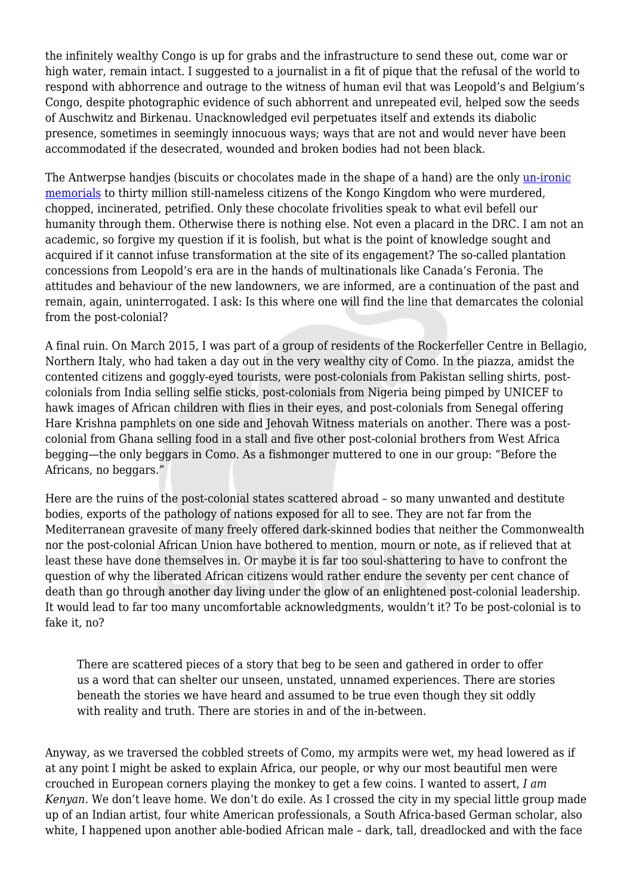the infinitely wealthy Congo is up for grabs and the infrastructure to send these out, come war or high water, remain intact. I suggested to a journalist in a fit of pique that the refusal of the world to respond with abhorrence and outrage to the witness of human evil that was Leopold's and Belgium's Congo, despite photographic evidence of such abhorrent and unrepeated evil, helped sow the seeds of Auschwitz and Birkenau. Unacknowledged evil perpetuates itself and extends its diabolic presence, sometimes in seemingly innocuous ways; ways that are not and would never have been accommodated if the desecrated, wounded and broken bodies had not been black.

The Antwerpse handjes (biscuits or chocolates made in the shape of a hand) are the only [un-ironic](http://sites.northwestern.edu/akih/2013/02/21/chocolates-as-cultural-blind-spots-responding-to-civilization/) [memorials](http://sites.northwestern.edu/akih/2013/02/21/chocolates-as-cultural-blind-spots-responding-to-civilization/) to thirty million still-nameless citizens of the Kongo Kingdom who were murdered, chopped, incinerated, petrified. Only these chocolate frivolities speak to what evil befell our humanity through them. Otherwise there is nothing else. Not even a placard in the DRC. I am not an academic, so forgive my question if it is foolish, but what is the point of knowledge sought and acquired if it cannot infuse transformation at the site of its engagement? The so-called plantation concessions from Leopold's era are in the hands of multinationals like Canada's Feronia. The attitudes and behaviour of the new landowners, we are informed, are a continuation of the past and remain, again, uninterrogated. I ask: Is this where one will find the line that demarcates the colonial from the post-colonial?

A final ruin. On March 2015, I was part of a group of residents of the Rockerfeller Centre in Bellagio, Northern Italy, who had taken a day out in the very wealthy city of Como. In the piazza, amidst the contented citizens and goggly-eyed tourists, were post-colonials from Pakistan selling shirts, postcolonials from India selling selfie sticks, post-colonials from Nigeria being pimped by UNICEF to hawk images of African children with flies in their eyes, and post-colonials from Senegal offering Hare Krishna pamphlets on one side and Jehovah Witness materials on another. There was a postcolonial from Ghana selling food in a stall and five other post-colonial brothers from West Africa begging—the only beggars in Como. As a fishmonger muttered to one in our group: "Before the Africans, no beggars."

Here are the ruins of the post-colonial states scattered abroad – so many unwanted and destitute bodies, exports of the pathology of nations exposed for all to see. They are not far from the Mediterranean gravesite of many freely offered dark-skinned bodies that neither the Commonwealth nor the post-colonial African Union have bothered to mention, mourn or note, as if relieved that at least these have done themselves in. Or maybe it is far too soul-shattering to have to confront the question of why the liberated African citizens would rather endure the seventy per cent chance of death than go through another day living under the glow of an enlightened post-colonial leadership. It would lead to far too many uncomfortable acknowledgments, wouldn't it? To be post-colonial is to fake it, no?

There are scattered pieces of a story that beg to be seen and gathered in order to offer us a word that can shelter our unseen, unstated, unnamed experiences. There are stories beneath the stories we have heard and assumed to be true even though they sit oddly with reality and truth. There are stories in and of the in-between.

Anyway, as we traversed the cobbled streets of Como, my armpits were wet, my head lowered as if at any point I might be asked to explain Africa, our people, or why our most beautiful men were crouched in European corners playing the monkey to get a few coins. I wanted to assert, *I am Kenyan*. We don't leave home. We don't do exile. As I crossed the city in my special little group made up of an Indian artist, four white American professionals, a South Africa-based German scholar, also white, I happened upon another able-bodied African male – dark, tall, dreadlocked and with the face